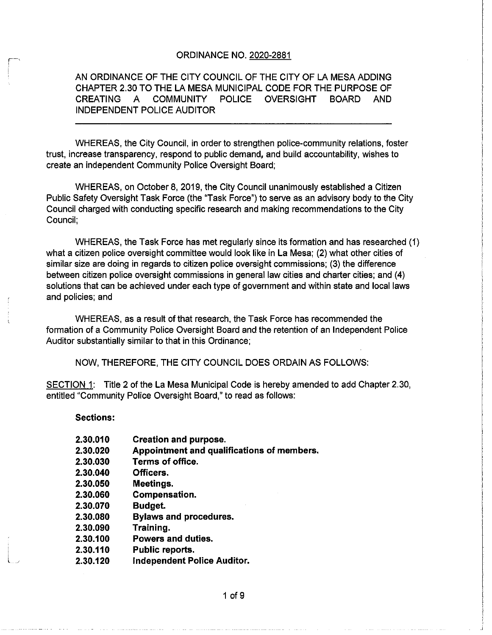#### **ORDINANCE NO. 2020-2881**

AN ORDINANCE OF THE CITY COUNCIL OF THE CITY OF LA MESA ADDING CHAPTER 2. 30 TO THE LA MESA MUNICIPAL CODE FOR THE PURPOSE OF CREATING A COMMUNITY POLICE OVERSIGHT BOARD AND INDEPENDENT POLICE AUDITOR

WHEREAS, the City Council, in order to strengthen police -community relations, foster trust, increase transparency, respond to public demand, and build accountability, wishes to create an independent Community Police Oversight Board;

WHEREAS, on October 8, 2019, the City Council unanimously established a Citizen Public Safety Oversight Task Force (the "Task Force") to serve as an advisory body to the City Council charged with conducting specific research and making recommendations to the City Council;

WHEREAS, the Task Force has met regularly since its formation and has researched ( 1) what a citizen police oversight committee would look like in La Mesa; (2) what other cities of similar size are doing in regards to citizen police oversight commissions; (3) the difference between citizen police oversight commissions in general law cities and charter cities; and ( 4) solutions that can be achieved under each type of government and within state and local laws and policies; and

WHEREAS, as a result of that research, the Task Force has recommended the formation of a Community Police Oversight Board and the retention of an Independent Police Auditor substantially similar to that in this Ordinance;

NOW, THEREFORE, THE CITY COUNCIL DOES ORDAIN AS FOLLOWS:

SECTION 1: Title 2 of the La Mesa Municipal Code is hereby amended to add Chapter 2.30, entitled" Community Police Oversight Board," to read as follows:

Sections:

- 2. 30. 010 Creation and purpose.
- 2.30. 020 Appointment and qualifications of members.
- 2.30. 030 Terms of office.
- 2. 30. 040 Officers.
- 2.30.050 Meetings.
- 2. 30. 060 Compensation.
- 2.30. 070 Budget.
- 2.30. 080 Bylaws and procedures.
- 2. 30. 090 Training.
- 2. 30. 100 Powers and duties.
- 2. 30. 110 Public reports.
- 2. 30. 120 Independent Police Auditor.

<sup>1</sup> of 9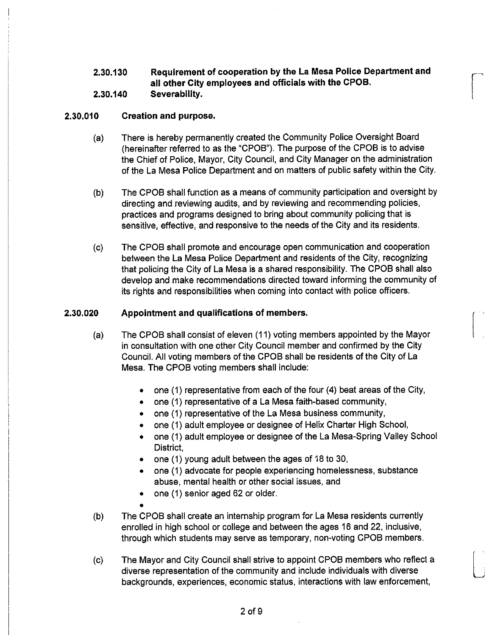2.30. 130 Requirement of cooperation by the La Mesa Police Department and all other City employees and officials with the CPOB.

# 2. 30. 140 Severability.

## 2. 30. 010 Creation and purpose.

- a) There is hereby permanently created the Community Police Oversight Board hereinafter referred to as the " CPOB"). The purpose of the CPOB is to advise the Chief of Police, Mayor, City Council, and City Manager on the administration of the La Mesa Police Department and on matters of public safety within the City.
- b) The CPOB shall function as a means of community participation and oversight by directing and reviewing audits, and by reviewing and recommending policies, practices and programs designed to bring about community policing that is sensitive, effective, and responsive to the needs of the City and its residents.
- c) The CPOB shall promote and encourage open communication and cooperation between the La Mesa Police Department and residents of the City, recognizing that policing the City of La Mesa is a shared responsibility. The CPOB shall also develop and make recommendations directed toward informing the community of its rights and responsibilities when coming into contact with police officers.

## 2. 30. 020 Appointment and qualifications of members.

- a) The CPOB shall consist of eleven ( 11) voting members appointed by the Mayor in consultation with one other City Council member and confirmed by the City Council. All voting members of the CPOB shall be residents of the City of La Mesa. The CPOB voting members shall include:
	- $\bullet$  one (1) representative from each of the four (4) beat areas of the City,
	- one (1) representative of a La Mesa faith-based community,
	- $\bullet$  one (1) representative of the La Mesa business community,
	- one (1) adult employee or designee of Helix Charter High School,
	- one (1) adult employee or designee of the La Mesa-Spring Valley School  $\bullet$ District,
	- one (1) young adult between the ages of 18 to 30,
	- one ( 1) advocate for people experiencing homelessness, substance  $\bullet$ abuse, mental health or other social issues, and
	- one ( 1) senior aged 62 or older.  $\bullet$
- b) The CPOB shall create an internship program for La Mesa residents currently enrolled in high school or college and between the ages 16 and 22, inclusive, through which students may serve as temporary, non -voting CPOB members.
- c) The Mayor and City Council shall strive to appoint CPOB members who reflect a diverse representation of the community and include individuals with diverse backgrounds, experiences, economic status, interactions with law enforcement,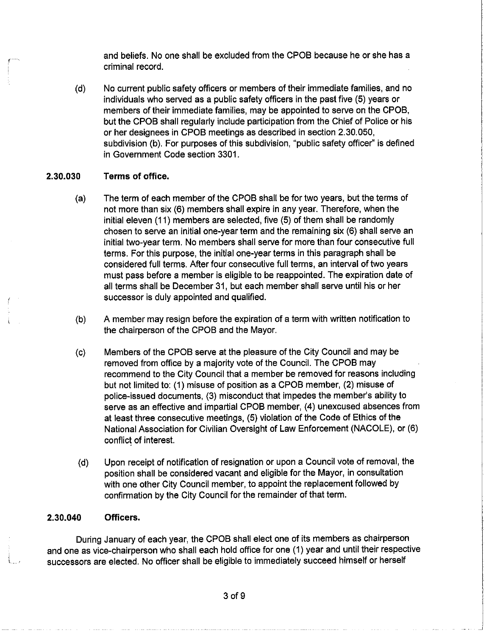and beliefs. No one shall be excluded from the CPOB because he or she has a criminal record.

d) No current public safety officers or members of their immediate families, and no individuals who served as a public safety officers in the past five (5) years or members of their immediate families, may be appointed to serve on the CPOB, but the CPOB shall regularly include participation from the Chief of Police or his or her designees in CPOB meetings as described in section 2. 30.050, subdivision (b). For purposes of this subdivision, "public safety officer" is defined in Government Code section 3301.

#### 2. 30.030 Terms of office.

- a) The term of each member of the CPOB shall be for two years, but the terms of not more than six (6) members shall expire in any year. Therefore, when the initial eleven (11) members are selected, five (5) of them shall be randomly chosen to serve an initial one-year term and the remaining six (6) shall serve an initial two- year term. No members shall serve for more than four consecutive full terms. For this purpose, the initial one- year terms in this paragraph shall be considered full terms. After four consecutive full terms, an interval of two years must pass before a member is eligible to be reappointed. The expiration date of all terms shall be December 31, but each member shall serve until his or her successor is duly appointed and qualified.
- b) A member may resign before the expiration of a term with written notification to the chairperson of the CPOB and the Mayor.
- c) Members of the CPOB serve at the pleasure of the City Council and may be removed from office by a majority vote of the Council. The CPOB may recommend to the City Council that a member be removed for reasons including but not limited to: ( 1) misuse of position as a CPOB member, (2) misuse of police-issued documents, (3) misconduct that impedes the member's ability to serve as an effective and impartial CPOB member, (4) unexcused absences from at least three consecutive meetings, (5) violation of the Code of Ethics of the National Association for Civilian Oversight of Law Enforcement ( NACOLE), or ( 6) conflict of interest.
- d) Upon receipt of notification of resignation or upon a Council vote of removal, the position shall be considered vacant and eligible for the Mayor, in consultation with one other City Council member, to appoint the replacement followed by confirmation by the City Council for the remainder of that term.

#### 2. 30. 040 Officers.

During January of each year, the CPOB shall elect one of its members as chairperson and one as vice-chairperson who shall each hold office for one (1) year and until their respective successors are elected. No officer shall be eligible to immediately succeed himself or herself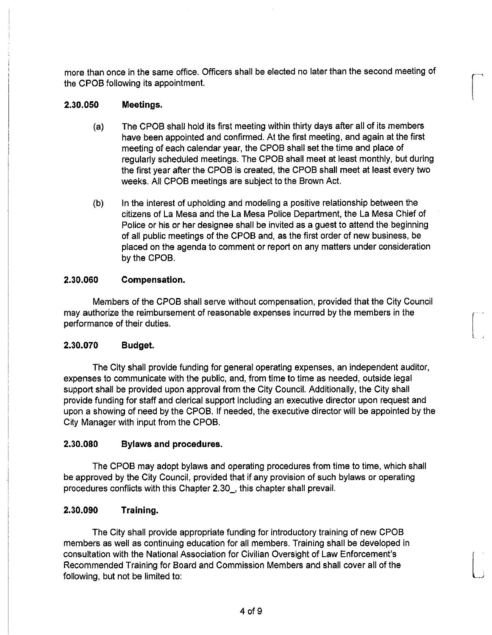more than once in the same office. Officers shall be elected no later than the second meeting of the CPOB following its appointment.

## 2. 30. 050 Meetings.

a) The CPOB shall hold its first meeting within thirty days after all of its members have been appointed and confirmed. At the first meeting, and again at the first meeting of each calendar year, the CPOB shall set the time and place of regularly scheduled meetings. The CPOB shall meet at least monthly, but during the first year after the CPOB is created, the CPOB shall meet at least every two weeks. All CPOB meetings are subject to the Brown Act.

l

b) In the interest of upholding and modeling a positive relationship between the citizens of La Mesa and the La Mesa Police Department, the La Mesa Chief of Police or his or her designee shall be invited as a guest to attend the beginning of all public meetings of the CPOB and, as the first order of new business, be placed on the agenda to comment or report on any matters under consideration by the CPOB.

## 2. 30. 060 Compensation.

Members of the CPOB shall serve without compensation, provided that the City Council may authorize the reimbursement of reasonable expenses incurred by the members in the performance of their duties.

## 2.30. 070 Budget.

The City shall provide funding for general operating expenses, an independent auditor, expenses to communicate with the public, and, from time to time as needed, outside legal support shall be provided upon approval from the City Council. Additionally, the City shall provide funding for staff and clerical support including an executive director upon request and upon a showing of need by the CPOB. If needed, the executive director will be appointed by the City Manager with input from the CPOB.

## 2. 30. 080 Bylaws and procedures.

The CPOB may adopt bylaws and operating procedures from time to time, which shall be approved by the City Council, provided that if any provision of such bylaws or operating procedures conflicts with this Chapter 2. 30\_, this chapter shall prevail.

### 2. 30. 090 Training.

The City shall provide appropriate funding for introductory training of new CPOB members as well as continuing education for all members. Training shall be developed in consultation with the National Association for Civilian Oversight of Law Enforcement' s Recommended Training for Board and Commission Members and shall cover all of the following, but not be limited to: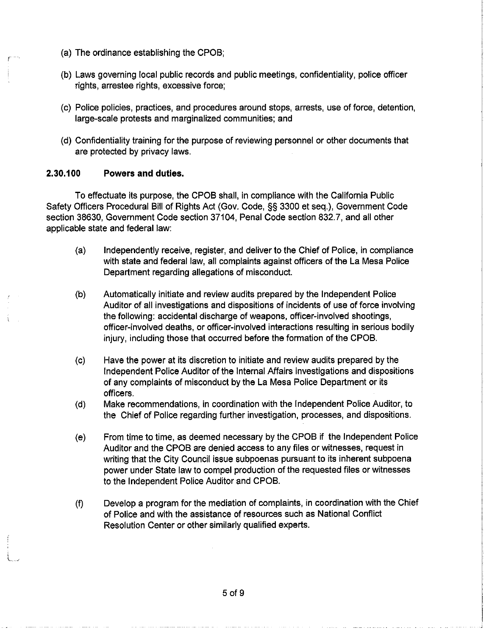- a) The ordinance establishing the CPOB;
- b) Laws governing local public records and public meetings, confidentiality, police officer rights, arrestee rights, excessive force;
- c) Police policies, practices, and procedures around stops, arrests, use of force, detention, large- scale protests and marginalized communities; and
- d) Confidentiality training for the purpose of reviewing personnel or other documents that are protected by privacy laws.

## 2. 30. 100 Powers and duties.

To effectuate its purpose, the CPOB shall, in compliance with the California Public Safety Officers Procedural Bill of Rights Act ( Gov. Code, §§ 3300 et seq.), Government Code section 38630, Government Code section 37104, Penal Code section 832.7, and all other applicable state and federal law:

- a) Independently receive, register, and deliver to the Chief of Police, in compliance with state and federal law, all complaints against officers of the La Mesa Police Department regarding allegations of misconduct.
- b) Automatically initiate and review audits prepared by the Independent Police Auditor of all investigations and dispositions of incidents of use of force involving the following: accidental discharge of weapons, officer -involved shootings, officer -involved deaths, or officer -involved interactions resulting in serious bodily injury, including those that occurred before the formation of the CPOB.
- c) Have the power at its discretion to initiate and review audits prepared by the Independent Police Auditor of the Internal Affairs investigations and dispositions of any complaints of misconduct by the La Mesa Police Department or its officers.
- d) Make recommendations, in coordination with the Independent Police Auditor, to the Chief of Police regarding further investigation, processes, and dispositions.
- e) From time to time, as deemed necessary by the CPOB if the Independent Police Auditor and the CPOB are denied access to any files or witnesses, request in writing that the City Council issue subpoenas pursuant to its inherent subpoena power under State law to compel production of the requested files or witnesses to the Independent Police Auditor and CPOB.
- f) Develop a program for the mediation of complaints, in coordination with the Chief of Police and with the assistance of resources such as National Conflict Resolution Center or other similarly qualified experts.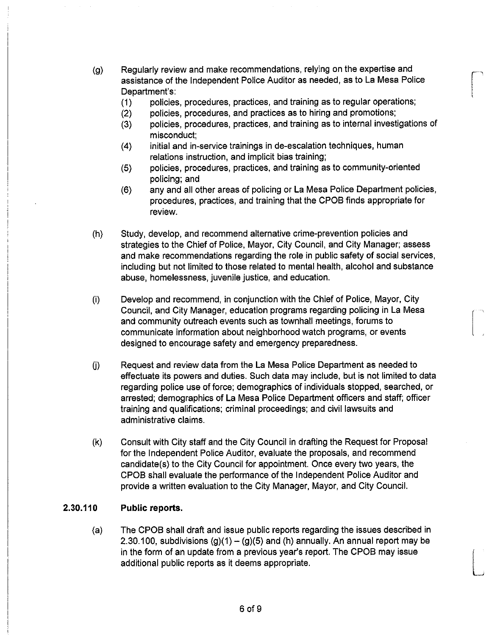- g) Regularly review and make recommendations, relying on the expertise and assistance of the Independent Police Auditor as needed, as to La Mesa Police Department's:
	- (1) policies, procedures, practices, and training as to regular operations;<br>(2) policies, procedures, and practices as to hiring and promotions;
	- (2) policies, procedures, and practices as to hiring and promotions;<br>(3) policies, procedures, practices, and training as to internal invest
	- policies, procedures, practices, and training as to internal investigations of misconduct;
	- 4) initial and in- service trainings in de- escalation techniques, human relations instruction, and implicit bias training;
	- 5) policies, procedures, practices, and training as to community -oriented policing; and
	- 6) any and all other areas of policing or La Mesa Police Department policies, procedures, practices, and training that the CPOB finds appropriate for review.
- h) Study, develop, and recommend alternative crime -prevention policies and strategies to the Chief of Police, Mayor, City Council, and City Manager; assess and make recommendations regarding the role in public safety of social services, including but not limited to those related to mental health, alcohol and substance abuse, homelessness, juvenile justice, and education.
- i) Develop and recommend, in conjunction with the Chief of Police, Mayor, City Council, and City Manager, education programs regarding policing in La Mesa and community outreach events such as townhall meetings, forums to communicate information about neighborhood watch programs, or events designed to encourage safety and emergency preparedness.
- (j) Request and review data from the La Mesa Police Department as needed to effectuate its powers and duties. Such data may include, but is not limited to data regarding police use of force; demographics of individuals stopped, searched, or arrested; demographics of La Mesa Police Department officers and staff; officer training and qualifications; criminal proceedings; and civil lawsuits and administrative claims.
- k) Consult with City staff and the City Council in drafting the Request for Proposal for the Independent Police Auditor, evaluate the proposals, and recommend candidate(s) to the City Council for appointment. Once every two years, the CPOB shall evaluate the performance of the Independent Police Auditor and provide a written evaluation to the City Manager, Mayor, and City Council.

### 2. 30. 110 Public reports.

a) The CPOB shall draft and issue public reports regarding the issues described in 2.30.100, subdivisions  $(g)(1) - (g)(5)$  and  $(h)$  annually. An annual report may be in the form of an update from a previous year's report. The CPOB may issue additional public reports as it deems appropriate.

.<br>......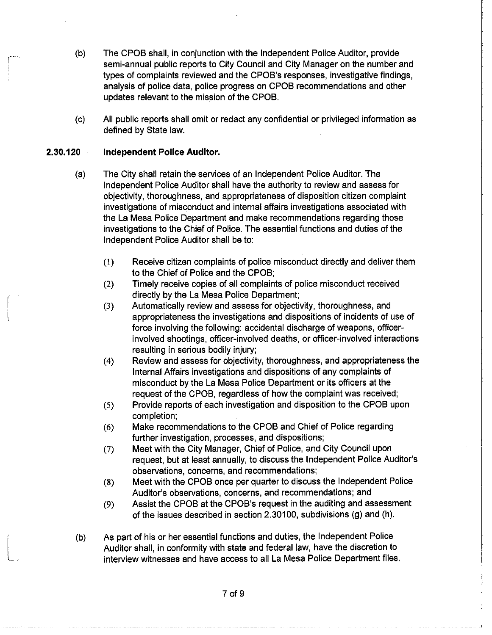- b) The CPOB shall, in conjunction with the Independent Police Auditor, provide semi-annual public reports to City Council and City Manager on the number and types of complaints reviewed and the CPOB's responses, investigative findings, analysis of police data, police progress on CPOB recommendations and other updates relevant to the mission of the CPOB.
- c) All public reports shall omit or redact any confidential or privileged information as defined by State law.

### 2. 30. 120 Independent Police Auditor.

- a) The City shall retain the services of an Independent Police Auditor. The Independent Police Auditor shall have the authority to review and assess for objectivity, thoroughness, and appropriateness of disposition citizen complaint investigations of misconduct and internal affairs investigations associated with the La Mesa Police Department and make recommendations regarding those investigations to the Chief of Police. The essential functions and duties of the Independent Police Auditor shall be to:
	- 1) Receive citizen complaints of police misconduct directly and deliver them to the Chief of Police and the CPOB;
	- 2) Timely receive copies of all complaints of police misconduct received directly by the La Mesa Police Department;
	- 3) Automatically review and assess for objectivity, thoroughness, and appropriateness the investigations and dispositions of incidents of use of force involving the following: accidental discharge of weapons, officer involved shootings, officer -involved deaths, or officer -involved interactions resulting in serious bodily injury;
	- 4) Review and assess for objectivity, thoroughness, and appropriateness the Internal Affairs investigations and dispositions of any complaints of misconduct by the La Mesa Police Department or its officers at the request of the CPOB, regardless of how the complaint was received;
	- 5) Provide reports of each investigation and disposition to the CPOB upon completion;
	- 6) Make recommendations to the CPOB and Chief of Police regarding further investigation, processes, and dispositions;
	- 7) Meet with the City Manager, Chief of Police, and City Council upon request, but at least annually, to discuss the Independent Police Auditor's observations, concerns, and recommendations;
	- 8) Meet with the CPOB once per quarter to discuss the Independent Police Auditor's observations, concerns, and recommendations; and
	- (9) Assist the CPOB at the CPOB's request in the auditing and assessment of the issues described in section 2.30100, subdivisions (g) and (h).
- b) As part of his or her essential functions and duties, the Independent Police Auditor shall, in conformity with state and federal law, have the discretion to interview witnesses and have access to all La Mesa Police Department files.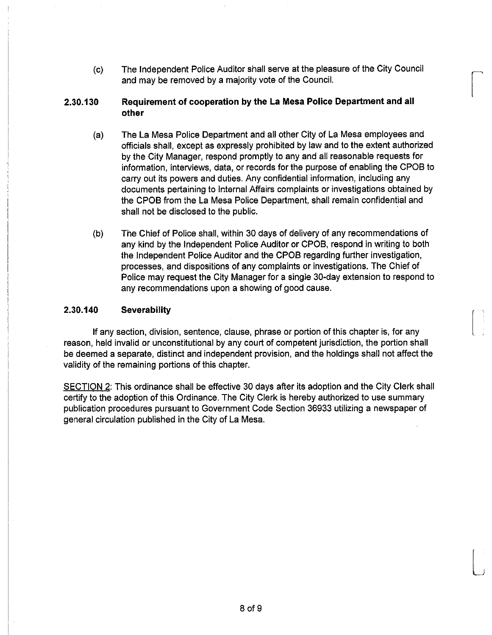c) The Independent Police Auditor shall serve at the pleasure of the City Council ^ and may be removed by a majority vote of the Council.

i

## 2. 30. 130 Requirement of cooperation by the La Mesa Police Department and all other

- a) The La Mesa Police Department and all other City of La Mesa employees and officials shall, except as expressly prohibited by law and to the extent authorized by the City Manager, respond promptly to any and all reasonable requests for information, interviews, data, or records for the purpose of enabling the CPOB to carry out its powers and duties. Any confidential information, including any documents pertaining to Internal Affairs complaints or investigations obtained by the CPOB from the La Mesa Police Department, shall remain confidential and shall not be disclosed to the public.
- b) The Chief of Police shall, within 30 days of delivery of any recommendations of any kind by the Independent Police Auditor or CPOB, respond in writing to both the Independent Police Auditor and the CPOB regarding further investigation, processes, and dispositions of any complaints or investigations. The Chief of Police may request the City Manager for a single 30-day extension to respond to any recommendations upon a showing of good cause.

## 2.30. 140 Severability

If any section, division, sentence, clause, phrase or portion of this chapter is, for any reason, held invalid or unconstitutional by any court of competent jurisdiction, the portion shall be deemed a separate, distinct and independent provision, and the holdings shall not affect the validity of the remaining portions of this chapter.

SECTION 2: This ordinance shall be effective 30 days after its adoption and the City Clerk shall certify to the adoption of this Ordinance. The City Clerk is hereby authorized to use summary publication procedures pursuant to Government Code Section 36933 utilizing a newspaper of general circulation published in the City of La Mesa.